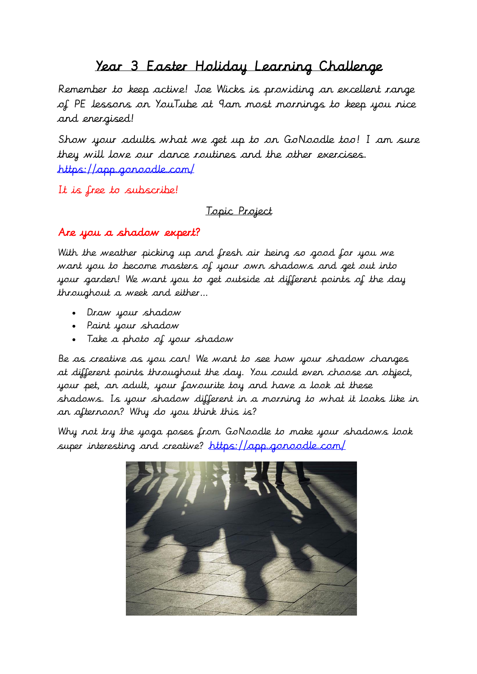## Year 3 Easter Holiday Learning Challenge

Remember to keep active! Joe Wicks is providing an excellent range of PE lessons on YouTube at 9am most mornings to keep you nice and energised!

Show your adults what we get up to on GoNoodle too! I am sure they will love our dance routines and the other exercises. <https://app.gonoodle.com/>

It is free to subscribe!

Topic Project

## Are you a shadow expert?

With the weather picking up and fresh air being so good for you we want you to become masters of your own shadows and get out into your garden! We want you to get outside at different points of the day throughout a week and either…

- Draw your shadow
- Paint your shadow
- Take a photo of your shadow

Be as creative as you can! We want to see how your shadow changes at different points throughout the day. You could even choose an object, your pet, an adult, your favourite toy and have a look at these shadows. Is your shadow different in a morning to what it looks like in an afternoon? Why do you think this is?

Why not try the yoga poses from GoNoodle to make your shadows look super interesting and creative? <https://app.gonoodle.com/>